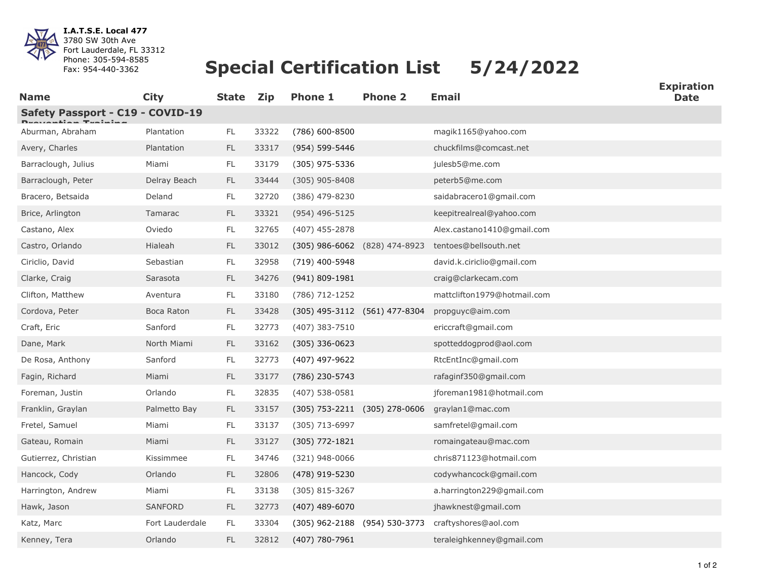

**I.A.T.S.E. Local 477** 3780 SW 30th Ave Fort Lauderdale, FL 33312 Phone: 305-594-8585 Fax: 954-440-3362

## **Special Certification List 5/24/2022**

| <b>Name</b>                      | <b>City</b>     | <b>State</b>  | <b>Zip</b> | <b>Phone 1</b>     | <b>Phone 2</b>                    | <b>Email</b>                | ь хричной<br><b>Date</b> |
|----------------------------------|-----------------|---------------|------------|--------------------|-----------------------------------|-----------------------------|--------------------------|
| Safety Passport - C19 - COVID-19 |                 |               |            |                    |                                   |                             |                          |
| Aburman, Abraham                 | Plantation      | $\mathsf{FL}$ | 33322      | (786) 600-8500     |                                   | magik1165@yahoo.com         |                          |
| Avery, Charles                   | Plantation      | $\mathsf{FL}$ | 33317      | (954) 599-5446     |                                   | chuckfilms@comcast.net      |                          |
| Barraclough, Julius              | Miami           | FL            | 33179      | $(305)$ 975-5336   |                                   | julesb5@me.com              |                          |
| Barraclough, Peter               | Delray Beach    | FL            | 33444      | $(305)$ 905-8408   |                                   | peterb5@me.com              |                          |
| Bracero, Betsaida                | Deland          | FL            | 32720      | (386) 479-8230     |                                   | saidabracero1@gmail.com     |                          |
| Brice, Arlington                 | Tamarac         | <b>FL</b>     | 33321      | $(954)$ 496-5125   |                                   | keepitrealreal@yahoo.com    |                          |
| Castano, Alex                    | Oviedo          | FL            | 32765      | $(407)$ 455-2878   |                                   | Alex.castano1410@gmail.com  |                          |
| Castro, Orlando                  | Hialeah         | $\mathsf{FL}$ | 33012      |                    | (305) 986-6062 (828) 474-8923     | tentoes@bellsouth.net       |                          |
| Ciriclio, David                  | Sebastian       | $\mathsf{FL}$ | 32958      | (719) 400-5948     |                                   | david.k.ciriclio@gmail.com  |                          |
| Clarke, Craig                    | Sarasota        | <b>FL</b>     | 34276      | $(941) 809 - 1981$ |                                   | craig@clarkecam.com         |                          |
| Clifton, Matthew                 | Aventura        | FL            | 33180      | (786) 712-1252     |                                   | mattclifton1979@hotmail.com |                          |
| Cordova, Peter                   | Boca Raton      | $\mathsf{FL}$ | 33428      |                    | (305) 495-3112 (561) 477-8304     | propguyc@aim.com            |                          |
| Craft, Eric                      | Sanford         | FL            | 32773      | (407) 383-7510     |                                   | ericcraft@gmail.com         |                          |
| Dane, Mark                       | North Miami     | FL            | 33162      | $(305)$ 336-0623   |                                   | spotteddogprod@aol.com      |                          |
| De Rosa, Anthony                 | Sanford         | FL            | 32773      | (407) 497-9622     |                                   | RtcEntInc@gmail.com         |                          |
| Fagin, Richard                   | Miami           | $\mathsf{FL}$ | 33177      | (786) 230-5743     |                                   | rafaginf350@gmail.com       |                          |
| Foreman, Justin                  | Orlando         | FL            | 32835      | $(407)$ 538-0581   |                                   | jforeman1981@hotmail.com    |                          |
| Franklin, Graylan                | Palmetto Bay    | <b>FL</b>     | 33157      |                    | $(305)$ 753-2211 $(305)$ 278-0606 | graylan1@mac.com            |                          |
| Fretel, Samuel                   | Miami           | FL.           | 33137      | (305) 713-6997     |                                   | samfretel@gmail.com         |                          |
| Gateau, Romain                   | Miami           | FL.           | 33127      | (305) 772-1821     |                                   | romaingateau@mac.com        |                          |
| Gutierrez, Christian             | Kissimmee       | FL            | 34746      | $(321)$ 948-0066   |                                   | chris871123@hotmail.com     |                          |
| Hancock, Cody                    | Orlando         | FL.           | 32806      | (478) 919-5230     |                                   | codywhancock@gmail.com      |                          |
| Harrington, Andrew               | Miami           | FL.           | 33138      | $(305)$ 815-3267   |                                   | a.harrington229@gmail.com   |                          |
| Hawk, Jason                      | <b>SANFORD</b>  | <b>FL</b>     | 32773      | $(407)$ 489-6070   |                                   | jhawknest@gmail.com         |                          |
| Katz, Marc                       | Fort Lauderdale | FL            | 33304      |                    | (305) 962-2188 (954) 530-3773     | craftyshores@aol.com        |                          |
| Kenney, Tera                     | Orlando         | <b>FL</b>     | 32812      | (407) 780-7961     |                                   | teraleighkenney@gmail.com   |                          |

**Expiration**